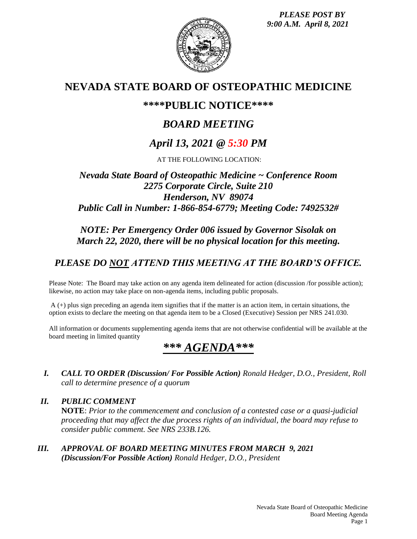*PLEASE POST BY 9:00 A.M. April 8, 2021*



## **NEVADA STATE BOARD OF OSTEOPATHIC MEDICINE**

## **\*\*\*\*PUBLIC NOTICE\*\*\*\***

# *BOARD MEETING*

# *April 13, 2021 @ 5:30 PM*

AT THE FOLLOWING LOCATION:

## *Nevada State Board of Osteopathic Medicine ~ Conference Room 2275 Corporate Circle, Suite 210 Henderson, NV 89074 Public Call in Number: 1-866-854-6779; Meeting Code: 7492532#*

## *NOTE: Per Emergency Order 006 issued by Governor Sisolak on March 22, 2020, there will be no physical location for this meeting.*

## *PLEASE DO NOT ATTEND THIS MEETING AT THE BOARD'S OFFICE.*

Please Note: The Board may take action on any agenda item delineated for action (discussion /for possible action); likewise, no action may take place on non-agenda items, including public proposals.

 $A$  (+) plus sign preceding an agenda item signifies that if the matter is an action item, in certain situations, the option exists to declare the meeting on that agenda item to be a Closed (Executive) Session per NRS 241.030.

All information or documents supplementing agenda items that are not otherwise confidential will be available at the board meeting in limited quantity

# *\*\*\* AGENDA\*\*\**

- *I. CALL TO ORDER (Discussion/ For Possible Action) Ronald Hedger, D.O., President, Roll call to determine presence of a quorum*
- *II. PUBLIC COMMENT* **NOTE**: *Prior to the commencement and conclusion of a contested case or a quasi-judicial proceeding that may affect the due process rights of an individual, the board may refuse to consider public comment. See NRS 233B.126.*
- *III. APPROVAL OF BOARD MEETING MINUTES FROM MARCH 9, 2021 (Discussion/For Possible Action) Ronald Hedger, D.O., President*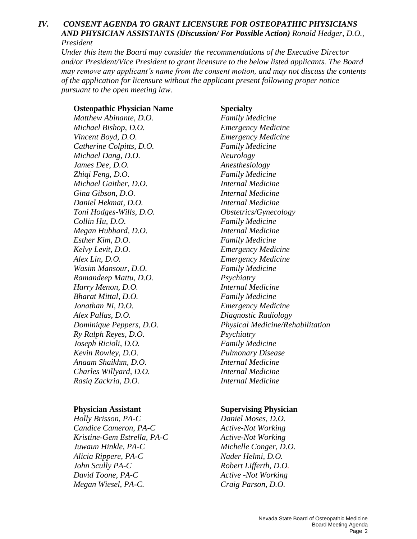#### *IV. CONSENT AGENDA TO GRANT LICENSURE FOR OSTEOPATHIC PHYSICIANS AND PHYSICIAN ASSISTANTS (Discussion/ For Possible Action) Ronald Hedger, D.O., President*

*Under this item the Board may consider the recommendations of the Executive Director and/or President/Vice President to grant licensure to the below listed applicants. The Board may remove any applicant's name from the consent motion, and may not discuss the contents of the application for licensure without the applicant present following proper notice pursuant to the open meeting law.*

#### **Osteopathic Physician Name Specialty**

*Matthew Abinante, D.O. Family Medicine Michael Bishop, D.O. Emergency Medicine Vincent Boyd, D.O. Emergency Medicine Catherine Colpitts, D.O. Family Medicine Michael Dang, D.O. Neurology James Dee, D.O. Anesthesiology Zhiqi Feng, D.O. Family Medicine Michael Gaither, D.O. Internal Medicine Gina Gibson, D.O. Internal Medicine Daniel Hekmat, D.O. Internal Medicine Toni Hodges-Wills, D.O. Obstetrics/Gynecology Collin Hu, D.O. Family Medicine Megan Hubbard, D.O. Internal Medicine Esther Kim, D.O. Family Medicine Kelvy Levit, D.O. Emergency Medicine Alex Lin, D.O. Emergency Medicine Wasim Mansour, D.O. Family Medicine Ramandeep Mattu, D.O. Psychiatry Harry Menon, D.O. Internal Medicine Bharat Mittal, D.O. Family Medicine Jonathan Ni, D.O. Emergency Medicine Alex Pallas, D.O. Diagnostic Radiology Ry Ralph Reyes, D.O. Psychiatry Joseph Ricioli, D.O. Family Medicine Kevin Rowley, D.O. Pulmonary Disease Anaam Shaikhm, D.O. Internal Medicine Charles Willyard, D.O. Internal Medicine Rasiq Zackria, D.O. Internal Medicine* 

*Holly Brisson, PA-C Daniel Moses, D.O. Candice Cameron, PA-C Active-Not Working Kristine-Gem Estrella, PA-C Active-Not Working Juwaun Hinkle, PA-C Michelle Conger, D.O. Alicia Rippere, PA-C Nader Helmi, D.O. John Scully PA-C Robert Lifferth, D.O. David Toone, PA-C Active -Not Working Megan Wiesel, PA-C. Craig Parson, D.O.*

*Dominique Peppers, D.O. Physical Medicine/Rehabilitation* 

#### **Physician Assistant Supervising Physician**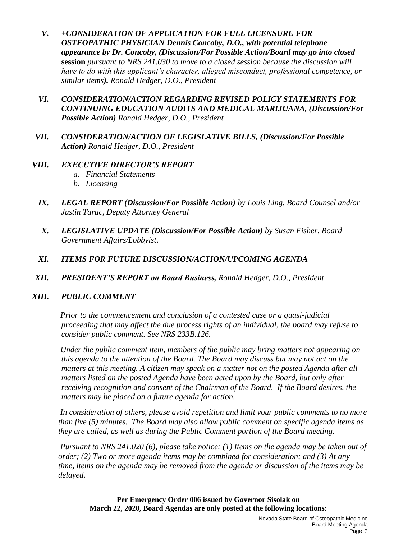- *V. +CONSIDERATION OF APPLICATION FOR FULL LICENSURE FOR OSTEOPATHIC PHYSICIAN Dennis Concoby, D.O., with potential telephone appearance by Dr. Concoby, (Discussion/For Possible Action/Board may go into closed*  **session** *pursuant to NRS 241.030 to move to a closed session because the discussion will have to do with this applicant's character, alleged misconduct, professional competence, or similar items). Ronald Hedger, D.O., President*
- *VI. CONSIDERATION/ACTION REGARDING REVISED POLICY STATEMENTS FOR CONTINUING EDUCATION AUDITS AND MEDICAL MARIJUANA, (Discussion/For Possible Action) Ronald Hedger, D.O., President*
- *VII. CONSIDERATION/ACTION OF LEGISLATIVE BILLS, (Discussion/For Possible Action) Ronald Hedger, D.O., President*

### *VIII. EXECUTIVE DIRECTOR'S REPORT*

- *a. Financial Statements*
- *b. Licensing*
- *IX. LEGAL REPORT (Discussion/For Possible Action) by Louis Ling, Board Counsel and/or Justin Taruc, Deputy Attorney General*
- *X. LEGISLATIVE UPDATE (Discussion/For Possible Action) by Susan Fisher, Board Government Affairs/Lobbyist*.
- *XI. ITEMS FOR FUTURE DISCUSSION/ACTION/UPCOMING AGENDA*
- *XII. PRESIDENT'S REPORT on Board Business, Ronald Hedger, D.O., President*

### *XIII. PUBLIC COMMENT*

*Prior to the commencement and conclusion of a contested case or a quasi-judicial proceeding that may affect the due process rights of an individual, the board may refuse to consider public comment. See NRS 233B.126.*

*Under the public comment item, members of the public may bring matters not appearing on this agenda to the attention of the Board. The Board may discuss but may not act on the matters at this meeting. A citizen may speak on a matter not on the posted Agenda after all matters listed on the posted Agenda have been acted upon by the Board, but only after receiving recognition and consent of the Chairman of the Board. If the Board desires, the matters may be placed on a future agenda for action.*

*In consideration of others, please avoid repetition and limit your public comments to no more than five (5) minutes. The Board may also allow public comment on specific agenda items as they are called, as well as during the Public Comment portion of the Board meeting.* 

*Pursuant to NRS 241.020 (6), please take notice: (1) Items on the agenda may be taken out of order; (2) Two or more agenda items may be combined for consideration; and (3) At any time, items on the agenda may be removed from the agenda or discussion of the items may be delayed.*

**Per Emergency Order 006 issued by Governor Sisolak on March 22, 2020, Board Agendas are only posted at the following locations:**